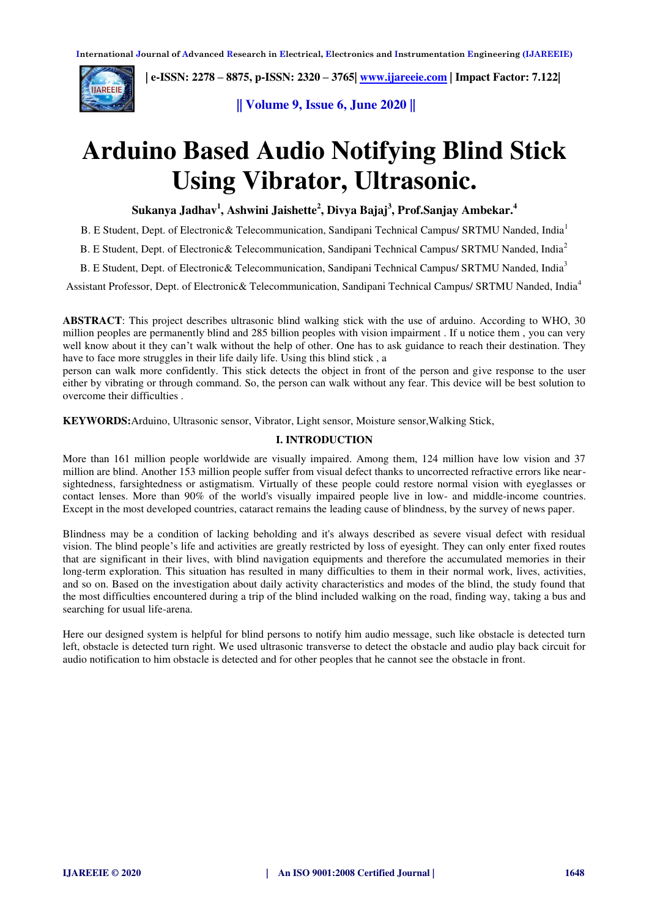

 **| e-ISSN: 2278 – 8875, p-ISSN: 2320 – 3765| [www.ijareeie.com](http://www.ijareeie.com/) | Impact Factor: 7.122|** 

**|| Volume 9, Issue 6, June 2020 ||** 

# **Arduino Based Audio Notifying Blind Stick Using Vibrator, Ultrasonic.**

**Sukanya Jadhav<sup>1</sup> , Ashwini Jaishette<sup>2</sup> , Divya Bajaj<sup>3</sup> , Prof.Sanjay Ambekar.<sup>4</sup>**

B. E Student, Dept. of Electronic& Telecommunication, Sandipani Technical Campus/ SRTMU Nanded, India<sup>1</sup>

B. E Student, Dept. of Electronic & Telecommunication, Sandipani Technical Campus/ SRTMU Nanded, India<sup>2</sup>

B. E Student, Dept. of Electronic & Telecommunication, Sandipani Technical Campus/ SRTMU Nanded, India<sup>3</sup>

Assistant Professor, Dept. of Electronic& Telecommunication, Sandipani Technical Campus/ SRTMU Nanded, India<sup>4</sup>

**ABSTRACT**: This project describes ultrasonic blind walking stick with the use of arduino. According to WHO, 30 million peoples are permanently blind and 285 billion peoples with vision impairment . If u notice them , you can very well know about it they can't walk without the help of other. One has to ask guidance to reach their destination. They have to face more struggles in their life daily life. Using this blind stick , a

person can walk more confidently. This stick detects the object in front of the person and give response to the user either by vibrating or through command. So, the person can walk without any fear. This device will be best solution to overcome their difficulties .

**KEYWORDS:**Arduino, Ultrasonic sensor, Vibrator, Light sensor, Moisture sensor,Walking Stick,

#### **I. INTRODUCTION**

More than 161 million people worldwide are visually impaired. Among them, 124 million have low vision and 37 million are blind. Another 153 million people suffer from visual defect thanks to uncorrected refractive errors like nearsightedness, farsightedness or astigmatism. Virtually of these people could restore normal vision with eyeglasses or contact lenses. More than 90% of the world's visually impaired people live in low- and middle-income countries. Except in the most developed countries, cataract remains the leading cause of blindness, by the survey of news paper.

Blindness may be a condition of lacking beholding and it's always described as severe visual defect with residual vision. The blind people's life and activities are greatly restricted by loss of eyesight. They can only enter fixed routes that are significant in their lives, with blind navigation equipments and therefore the accumulated memories in their long-term exploration. This situation has resulted in many difficulties to them in their normal work, lives, activities, and so on. Based on the investigation about daily activity characteristics and modes of the blind, the study found that the most difficulties encountered during a trip of the blind included walking on the road, finding way, taking a bus and searching for usual life-arena.

Here our designed system is helpful for blind persons to notify him audio message, such like obstacle is detected turn left, obstacle is detected turn right. We used ultrasonic transverse to detect the obstacle and audio play back circuit for audio notification to him obstacle is detected and for other peoples that he cannot see the obstacle in front.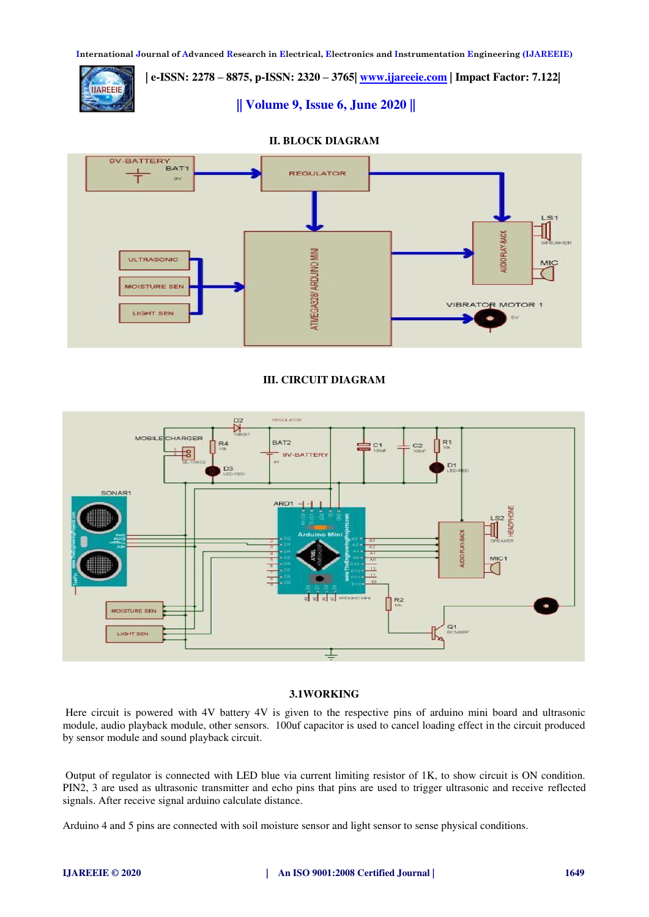**International Journal of Advanced Research in Electrical, Electronics and Instrumentation Engineering (IJAREEIE)** 

 **| e-ISSN: 2278 – 8875, p-ISSN: 2320 – 3765| [www.ijareeie.com](http://www.ijareeie.com/) | Impact Factor: 7.122|** 

**|| Volume 9, Issue 6, June 2020 ||** 





## **III. CIRCUIT DIAGRAM**



## **3.1WORKING**

Here circuit is powered with 4V battery 4V is given to the respective pins of arduino mini board and ultrasonic module, audio playback module, other sensors. 100uf capacitor is used to cancel loading effect in the circuit produced by sensor module and sound playback circuit.

 Output of regulator is connected with LED blue via current limiting resistor of 1K, to show circuit is ON condition. PIN2, 3 are used as ultrasonic transmitter and echo pins that pins are used to trigger ultrasonic and receive reflected signals. After receive signal arduino calculate distance.

Arduino 4 and 5 pins are connected with soil moisture sensor and light sensor to sense physical conditions.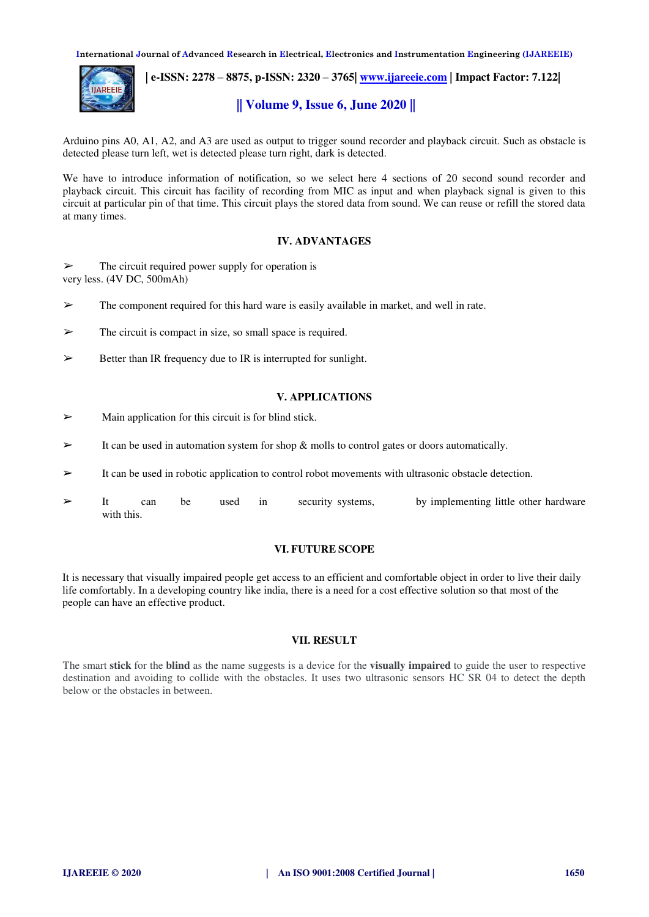**International Journal of Advanced Research in Electrical, Electronics and Instrumentation Engineering (IJAREEIE)** 



 **| e-ISSN: 2278 – 8875, p-ISSN: 2320 – 3765| [www.ijareeie.com](http://www.ijareeie.com/) | Impact Factor: 7.122|** 

## **|| Volume 9, Issue 6, June 2020 ||**

Arduino pins A0, A1, A2, and A3 are used as output to trigger sound recorder and playback circuit. Such as obstacle is detected please turn left, wet is detected please turn right, dark is detected.

We have to introduce information of notification, so we select here 4 sections of 20 second sound recorder and playback circuit. This circuit has facility of recording from MIC as input and when playback signal is given to this circuit at particular pin of that time. This circuit plays the stored data from sound. We can reuse or refill the stored data at many times.

#### **IV. ADVANTAGES**

 $\triangleright$  The circuit required power supply for operation is very less. (4V DC, 500mAh)

 $\triangleright$  The component required for this hard ware is easily available in market, and well in rate.

- ➢ The circuit is compact in size, so small space is required.
- $\triangleright$  Better than IR frequency due to IR is interrupted for sunlight.

#### **V. APPLICATIONS**

- $\triangleright$  Main application for this circuit is for blind stick.
- $\triangleright$  It can be used in automation system for shop & molls to control gates or doors automatically.
- $\triangleright$  It can be used in robotic application to control robot movements with ultrasonic obstacle detection.
- It can be used in security systems, by implementing little other hardware with this.

#### **VI. FUTURE SCOPE**

It is necessary that visually impaired people get access to an efficient and comfortable object in order to live their daily life comfortably. In a developing country like india, there is a need for a cost effective solution so that most of the people can have an effective product.

#### **VII. RESULT**

The smart **stick** for the **blind** as the name suggests is a device for the **visually impaired** to guide the user to respective destination and avoiding to collide with the obstacles. It uses two ultrasonic sensors HC SR 04 to detect the depth below or the obstacles in between.